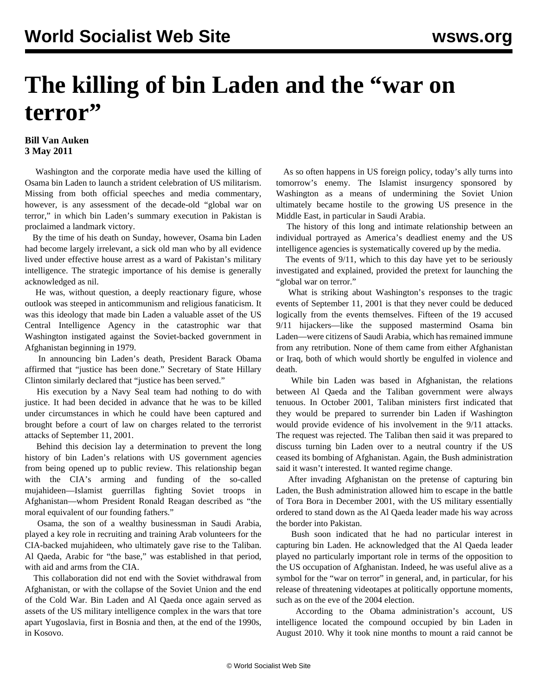## **The killing of bin Laden and the "war on terror"**

## **Bill Van Auken 3 May 2011**

 Washington and the corporate media have used the killing of Osama bin Laden to launch a strident celebration of US militarism. Missing from both official speeches and media commentary, however, is any assessment of the decade-old "global war on terror," in which bin Laden's summary execution in Pakistan is proclaimed a landmark victory.

 By the time of his death on Sunday, however, Osama bin Laden had become largely irrelevant, a sick old man who by all evidence lived under effective house arrest as a ward of Pakistan's military intelligence. The strategic importance of his demise is generally acknowledged as nil.

 He was, without question, a deeply reactionary figure, whose outlook was steeped in anticommunism and religious fanaticism. It was this ideology that made bin Laden a valuable asset of the US Central Intelligence Agency in the catastrophic war that Washington instigated against the Soviet-backed government in Afghanistan beginning in 1979.

 In announcing bin Laden's death, President Barack Obama affirmed that "justice has been done." Secretary of State Hillary Clinton similarly declared that "justice has been served."

 His execution by a Navy Seal team had nothing to do with justice. It had been decided in advance that he was to be killed under circumstances in which he could have been captured and brought before a court of law on charges related to the terrorist attacks of September 11, 2001.

 Behind this decision lay a determination to prevent the long history of bin Laden's relations with US government agencies from being opened up to public review. This relationship began with the CIA's arming and funding of the so-called mujahideen—Islamist guerrillas fighting Soviet troops in Afghanistan—whom President Ronald Reagan described as "the moral equivalent of our founding fathers."

 Osama, the son of a wealthy businessman in Saudi Arabia, played a key role in recruiting and training Arab volunteers for the CIA-backed mujahideen, who ultimately gave rise to the Taliban. Al Qaeda, Arabic for "the base," was established in that period, with aid and arms from the CIA.

 This collaboration did not end with the Soviet withdrawal from Afghanistan, or with the collapse of the Soviet Union and the end of the Cold War. Bin Laden and Al Qaeda once again served as assets of the US military intelligence complex in the wars that tore apart Yugoslavia, first in Bosnia and then, at the end of the 1990s, in Kosovo.

 As so often happens in US foreign policy, today's ally turns into tomorrow's enemy. The Islamist insurgency sponsored by Washington as a means of undermining the Soviet Union ultimately became hostile to the growing US presence in the Middle East, in particular in Saudi Arabia.

 The history of this long and intimate relationship between an individual portrayed as America's deadliest enemy and the US intelligence agencies is systematically covered up by the media.

 The events of 9/11, which to this day have yet to be seriously investigated and explained, provided the pretext for launching the "global war on terror."

 What is striking about Washington's responses to the tragic events of September 11, 2001 is that they never could be deduced logically from the events themselves. Fifteen of the 19 accused 9/11 hijackers—like the supposed mastermind Osama bin Laden—were citizens of Saudi Arabia, which has remained immune from any retribution. None of them came from either Afghanistan or Iraq, both of which would shortly be engulfed in violence and death.

 While bin Laden was based in Afghanistan, the relations between Al Qaeda and the Taliban government were always tenuous. In October 2001, Taliban ministers first indicated that they would be prepared to surrender bin Laden if Washington would provide evidence of his involvement in the 9/11 attacks. The request was rejected. The Taliban then said it was prepared to discuss turning bin Laden over to a neutral country if the US ceased its bombing of Afghanistan. Again, the Bush administration said it wasn't interested. It wanted regime change.

 After invading Afghanistan on the pretense of capturing bin Laden, the Bush administration allowed him to escape in the battle of Tora Bora in December 2001, with the US military essentially ordered to stand down as the Al Qaeda leader made his way across the border into Pakistan.

 Bush soon indicated that he had no particular interest in capturing bin Laden. He acknowledged that the Al Qaeda leader played no particularly important role in terms of the opposition to the US occupation of Afghanistan. Indeed, he was useful alive as a symbol for the "war on terror" in general, and, in particular, for his release of threatening videotapes at politically opportune moments, such as on the eve of the 2004 election.

 According to the Obama administration's account, US intelligence located the compound occupied by bin Laden in August 2010. Why it took nine months to mount a raid cannot be